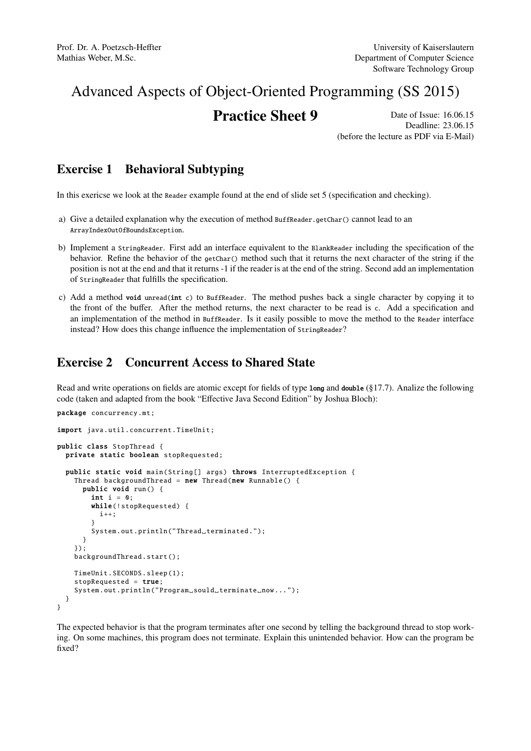# Advanced Aspects of Object-Oriented Programming (SS 2015)

## **Practice Sheet 9** Date of Issue: 16.06.15

Deadline: 23.06.15 (before the lecture as PDF via E-Mail)

#### Exercise 1 Behavioral Subtyping

In this exericse we look at the Reader example found at the end of slide set 5 (specification and checking).

- a) Give a detailed explanation why the execution of method BuffReader.getChar() cannot lead to an ArrayIndexOutOfBoundsException.
- b) Implement a StringReader. First add an interface equivalent to the BlankReader including the specification of the behavior. Refine the behavior of the getChar() method such that it returns the next character of the string if the position is not at the end and that it returns -1 if the reader is at the end of the string. Second add an implementation of StringReader that fulfills the specification.
- c) Add a method void unread(int c) to BuffReader. The method pushes back a single character by copying it to the front of the buffer. After the method returns, the next character to be read is c. Add a specification and an implementation of the method in BuffReader. Is it easily possible to move the method to the Reader interface instead? How does this change influence the implementation of StringReader?

### Exercise 2 Concurrent Access to Shared State

Read and write operations on fields are atomic except for fields of type long and double (§17.7). Analize the following code (taken and adapted from the book "Effective Java Second Edition" by Joshua Bloch):

```
package concurrency .mt;
import java.util.concurrent.TimeUnit;
public class StopThread {
 private static boolean stopRequested ;
 public static void main(String[] args) throws InterruptedException {
    Thread backgroundThread = new Thread(new Runnable() {
      public void run () {
        int i = 0;
        while(!stopRequested) {
          i++:
        }
        System.out.println("Thread_terminated.");
      }
    });
    backgroundThread .start ();
   TimeUnit.SECONDS.sleep (1);
    stopRequested = true;
    System.out.println("Program_sould_terminate_now...");
 }
}
```
The expected behavior is that the program terminates after one second by telling the background thread to stop working. On some machines, this program does not terminate. Explain this unintended behavior. How can the program be fixed?